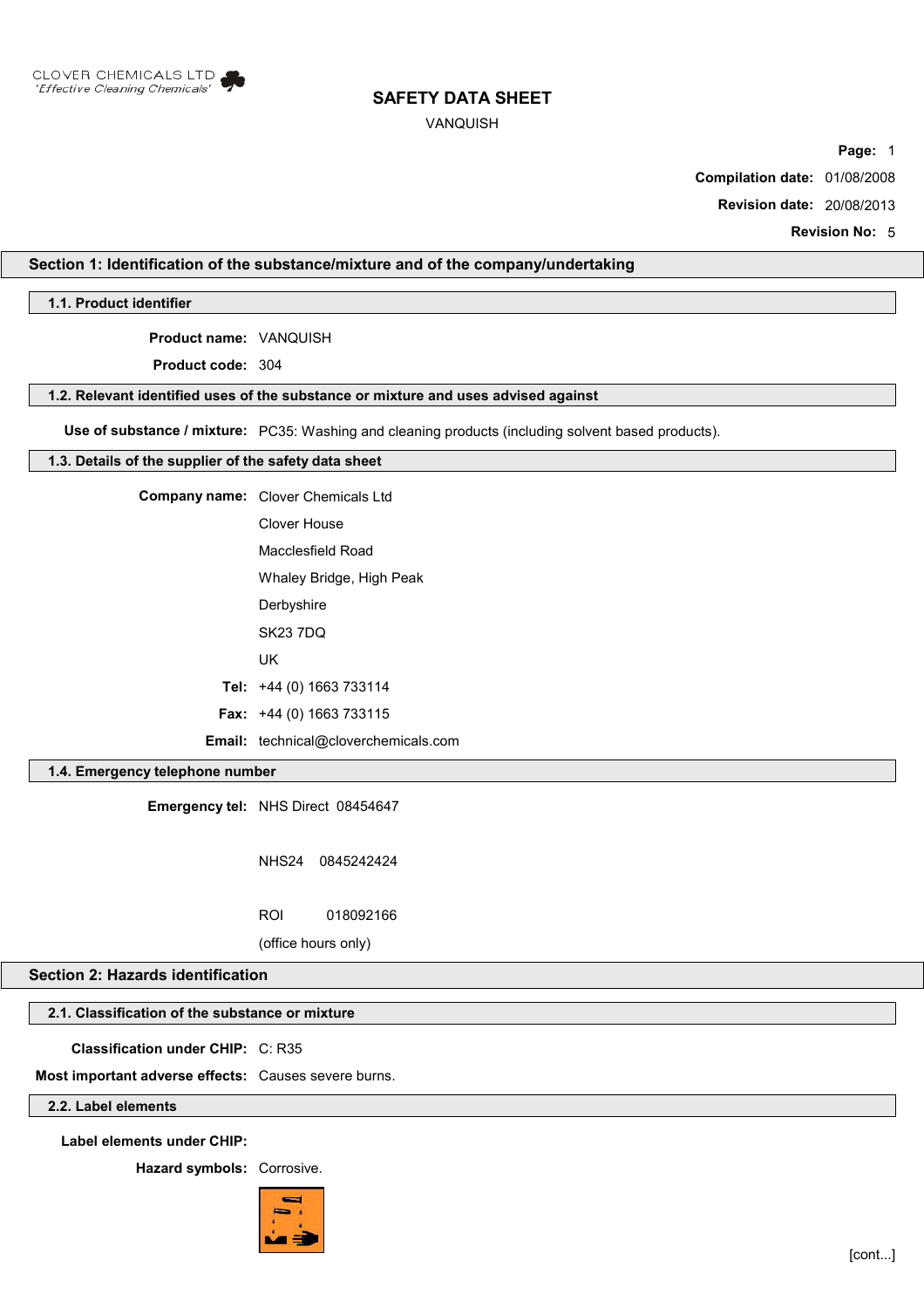

### VANQUISH

**Page:** 1

**Compilation date:** 01/08/2008

**Revision date:** 20/08/2013

**Revision No:** 5

## **Section 1: Identification of the substance/mixture and of the company/undertaking**

**1.1. Product identifier**

**Product name:** VANQUISH

**Product code:** 304

#### **1.2. Relevant identified uses of the substance or mixture and uses advised against**

**Use of substance / mixture:** PC35: Washing and cleaning products (including solvent based products).

#### **1.3. Details of the supplier of the safety data sheet**

| <b>Company name:</b> Clover Chemicals Ltd   |
|---------------------------------------------|
| Clover House                                |
| Macclesfield Road                           |
| Whaley Bridge, High Peak                    |
| Derbyshire                                  |
| <b>SK23 7DQ</b>                             |
| UK                                          |
| Tel: $+44$ (0) 1663 733114                  |
| <b>Fax:</b> $+44$ (0) 1663 733115           |
| <b>Email:</b> technical@cloverchemicals.com |

## **1.4. Emergency telephone number**

**Emergency tel:** NHS Direct 08454647

NHS24 0845242424

ROI 018092166

(office hours only)

## **Section 2: Hazards identification**

# **2.1. Classification of the substance or mixture**

**Classification under CHIP:** C: R35

**Most important adverse effects:** Causes severe burns.

## **2.2. Label elements**

**Label elements under CHIP:**

**Hazard symbols:** Corrosive.

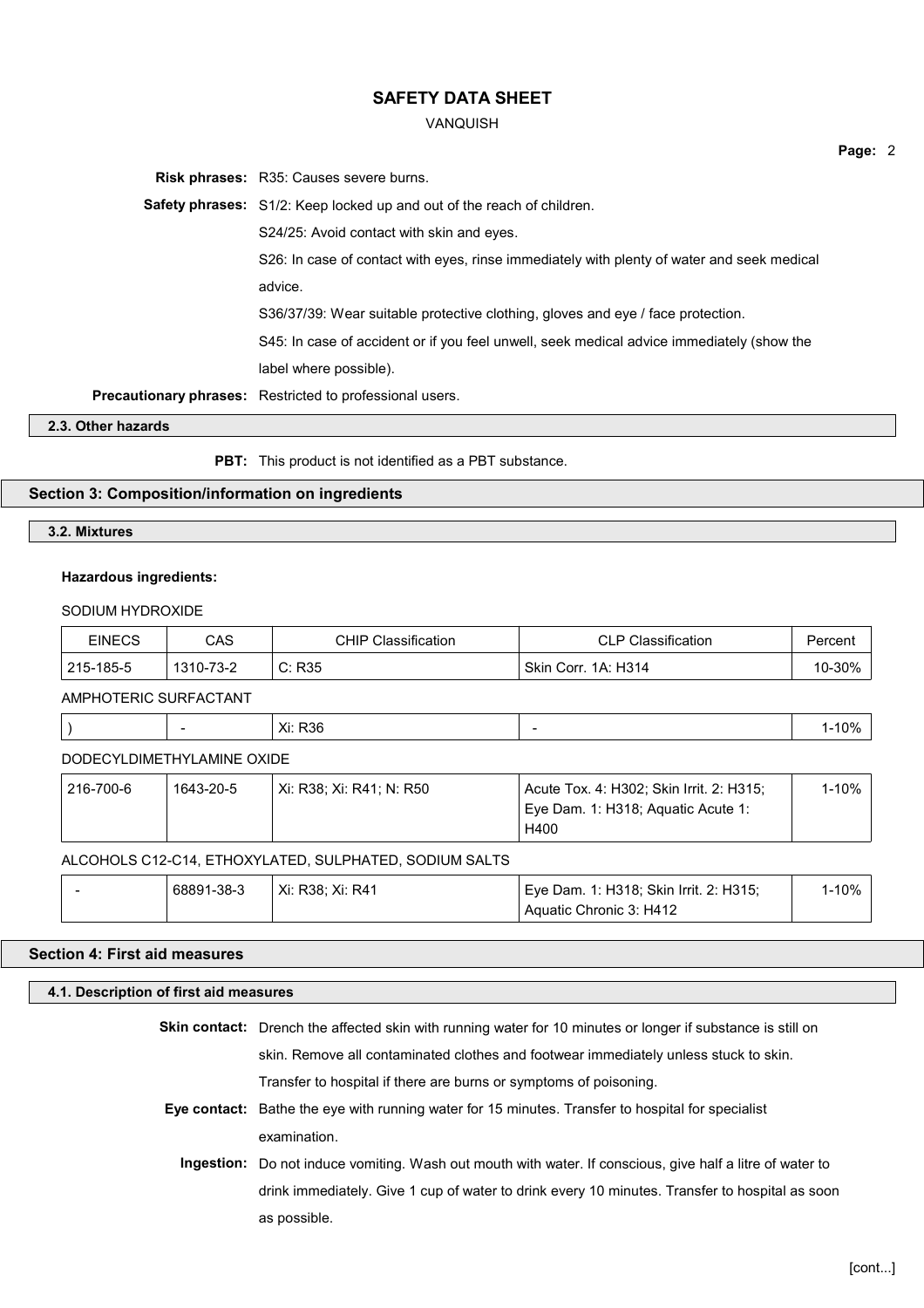#### VANQUISH

**Risk phrases:** R35: Causes severe burns. **Safety phrases:** S1/2: Keep locked up and out of the reach of children. S24/25: Avoid contact with skin and eyes. S26: In case of contact with eyes, rinse immediately with plenty of water and seek medical advice. S36/37/39: Wear suitable protective clothing, gloves and eye / face protection. S45: In case of accident or if you feel unwell, seek medical advice immediately (show the label where possible). **Precautionary phrases:** Restricted to professional users.

**2.3. Other hazards**

**PBT:** This product is not identified as a PBT substance.

## **Section 3: Composition/information on ingredients**

#### **3.2. Mixtures**

#### **Hazardous ingredients:**

#### SODIUM HYDROXIDE

| <b>EINECS</b> | CAS       | Classification<br>CHIP | <b>CLP Classification</b> | Percen∖ |
|---------------|-----------|------------------------|---------------------------|---------|
| 215-185-5     | 1310-73-2 | C: R35                 | Skin Corr. 1A: H314       | $-30%$  |

AMPHOTERIC SURFACTANT

| <b>R36</b><br>Xi: I<br>. | 100<br>$\cdot$ $\cdot$ $\cdot$ |
|--------------------------|--------------------------------|
|--------------------------|--------------------------------|

## DODECYLDIMETHYLAMINE OXIDE

| 216-700-6 | 1643-20-5 | Xi: R38: Xi: R41: N: R50 | <sup>1</sup> Acute Tox. 4: H302; Skin Irrit. 2: H315; | 1-10% |
|-----------|-----------|--------------------------|-------------------------------------------------------|-------|
|           |           |                          | Eye Dam. 1: H318; Aguatic Acute 1:                    |       |
|           |           |                          | H400                                                  |       |

#### ALCOHOLS C12-C14, ETHOXYLATED, SULPHATED, SODIUM SALTS

| 68891-38-3 | Xi: R38: Xi: R41 | <sup>1</sup> Eye Dam. 1: H318; Skin Irrit. 2: H315; | <b>I-10%</b> |
|------------|------------------|-----------------------------------------------------|--------------|
|            |                  | Aquatic Chronic 3: H412                             |              |

## **Section 4: First aid measures**

#### **4.1. Description of first aid measures**

**Skin contact:** Drench the affected skin with running water for 10 minutes or longer if substance is still on skin. Remove all contaminated clothes and footwear immediately unless stuck to skin. Transfer to hospital if there are burns or symptoms of poisoning.

- **Eye contact:** Bathe the eye with running water for 15 minutes. Transfer to hospital for specialist examination.
	- **Ingestion:** Do not induce vomiting. Wash out mouth with water. If conscious, give half a litre of water to drink immediately. Give 1 cup of water to drink every 10 minutes. Transfer to hospital as soon as possible.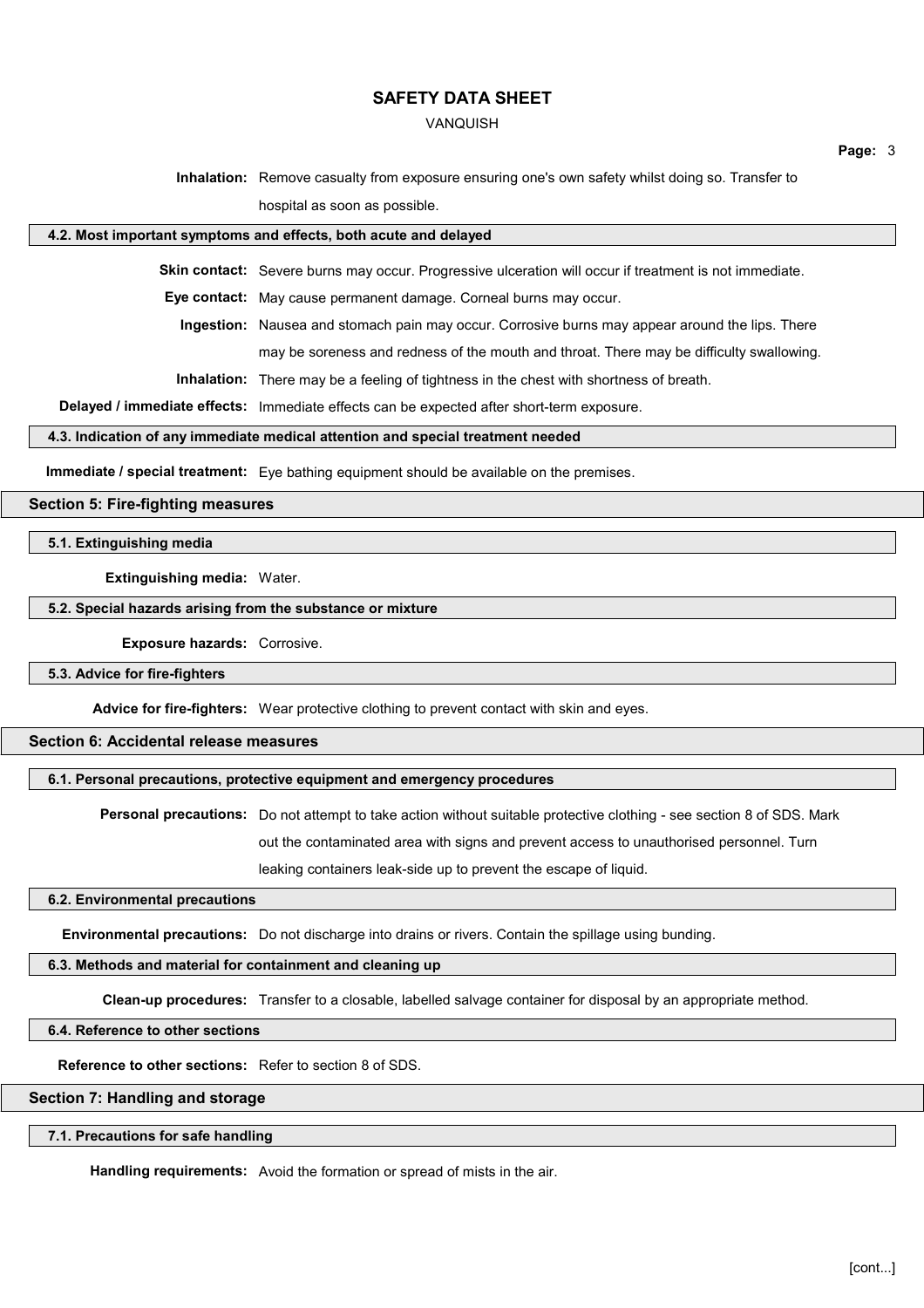#### VANQUISH

**Page:** 3

**Inhalation:** Remove casualty from exposure ensuring one's own safety whilst doing so. Transfer to hospital as soon as possible.

#### **4.2. Most important symptoms and effects, both acute and delayed**

**Skin contact:** Severe burns may occur. Progressive ulceration will occur if treatment is not immediate.

**Eye contact:** May cause permanent damage. Corneal burns may occur.

**Ingestion:** Nausea and stomach pain may occur. Corrosive burns may appear around the lips. There

may be soreness and redness of the mouth and throat. There may be difficulty swallowing.

**Inhalation:** There may be a feeling of tightness in the chest with shortness of breath.

**Delayed / immediate effects:** Immediate effects can be expected after short-term exposure.

#### **4.3. Indication of any immediate medical attention and special treatment needed**

**Immediate / special treatment:** Eye bathing equipment should be available on the premises.

## **Section 5: Fire-fighting measures**

## **5.1. Extinguishing media**

## **Extinguishing media:** Water.

## **5.2. Special hazards arising from the substance or mixture**

**Exposure hazards:** Corrosive.

#### **5.3. Advice for fire-fighters**

**Advice for fire-fighters:** Wear protective clothing to prevent contact with skin and eyes.

## **Section 6: Accidental release measures**

#### **6.1. Personal precautions, protective equipment and emergency procedures**

**Personal precautions:** Do not attempt to take action without suitable protective clothing - see section 8 of SDS. Mark out the contaminated area with signs and prevent access to unauthorised personnel. Turn

leaking containers leak-side up to prevent the escape of liquid.

#### **6.2. Environmental precautions**

**Environmental precautions:** Do not discharge into drains or rivers. Contain the spillage using bunding.

# **6.3. Methods and material for containment and cleaning up**

**Clean-up procedures:** Transfer to a closable, labelled salvage container for disposal by an appropriate method.

## **6.4. Reference to other sections**

**Reference to other sections:** Refer to section 8 of SDS.

# **Section 7: Handling and storage**

## **7.1. Precautions for safe handling**

**Handling requirements:** Avoid the formation or spread of mists in the air.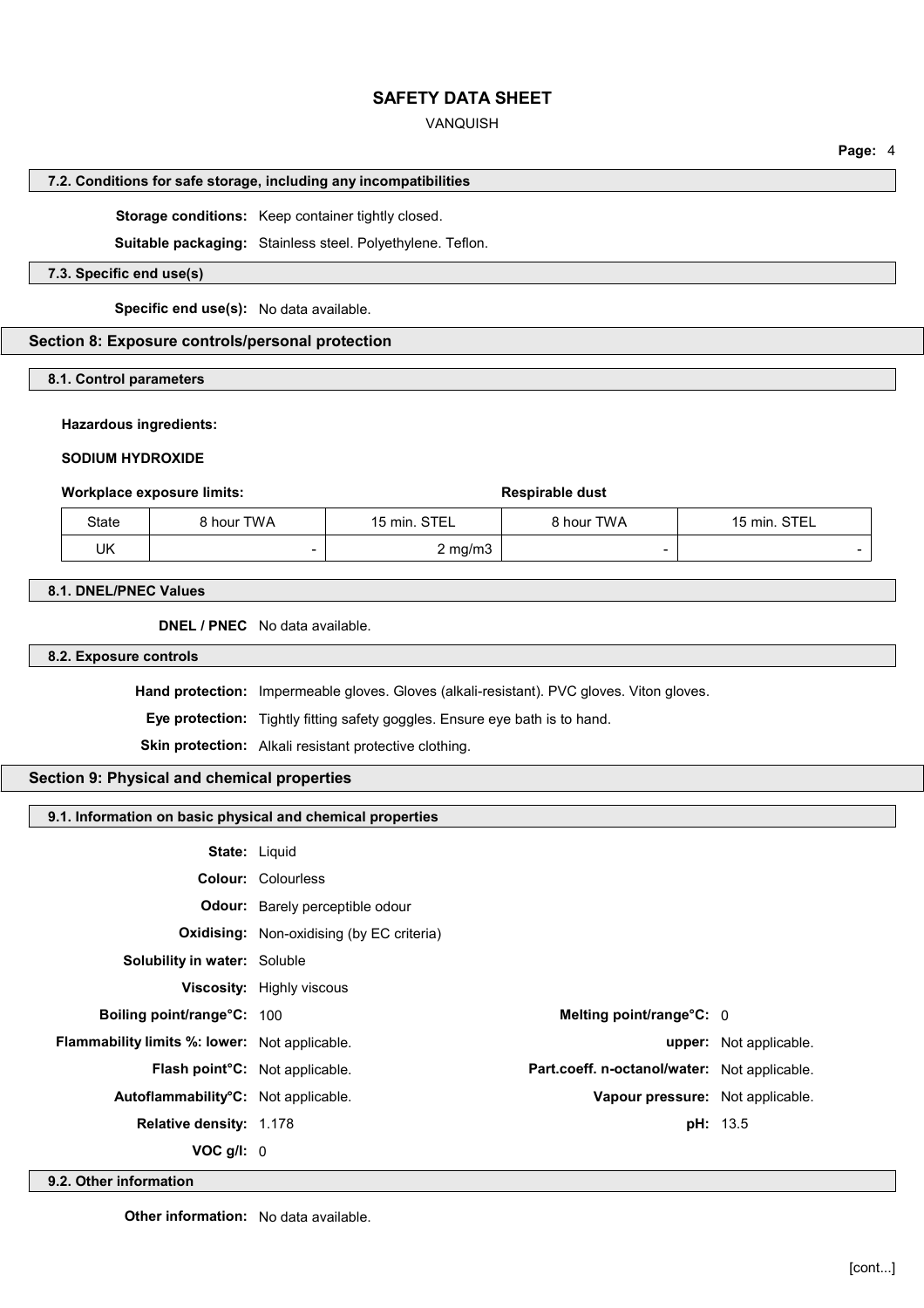### VANQUISH

## **7.2. Conditions for safe storage, including any incompatibilities**

**Storage conditions:** Keep container tightly closed.

**Suitable packaging:** Stainless steel. Polyethylene. Teflon.

## **7.3. Specific end use(s)**

**Specific end use(s):** No data available.

#### **Section 8: Exposure controls/personal protection**

#### **8.1. Control parameters**

#### **Hazardous ingredients:**

#### **SODIUM HYDROXIDE**

#### **Workplace exposure limits: Respirable dust Respirable dust**

| State | 8 hour TWA | 15 min. STEL     | 8 hour TWA | 15 min. STEL |
|-------|------------|------------------|------------|--------------|
| UK    | -          | $2 \text{ mg/m}$ |            |              |

#### **8.1. DNEL/PNEC Values**

**DNEL / PNEC** No data available.

### **8.2. Exposure controls**

**Hand protection:** Impermeable gloves. Gloves (alkali-resistant). PVC gloves. Viton gloves.

**Eye protection:** Tightly fitting safety goggles. Ensure eye bath is to hand.

**Skin protection:** Alkali resistant protective clothing.

# **Section 9: Physical and chemical properties**

| 9.1. Information on basic physical and chemical properties |  |  |
|------------------------------------------------------------|--|--|
|                                                            |  |  |

|                                                      | <b>State: Liquid</b>                             |                               |
|------------------------------------------------------|--------------------------------------------------|-------------------------------|
|                                                      | <b>Colour: Colourless</b>                        |                               |
|                                                      | <b>Odour:</b> Barely perceptible odour           |                               |
|                                                      | <b>Oxidising:</b> Non-oxidising (by EC criteria) |                               |
| Solubility in water: Soluble                         |                                                  |                               |
|                                                      | Viscosity: Highly viscous                        |                               |
| Boiling point/range°C: 100                           | Melting point/range $\textdegree$ C: 0           |                               |
| <b>Flammability limits %: lower:</b> Not applicable. |                                                  | <b>upper:</b> Not applicable. |
| <b>Flash point C:</b> Not applicable.                | Part.coeff. n-octanol/water: Not applicable.     |                               |
| Autoflammability°C: Not applicable.                  | Vapour pressure: Not applicable.                 |                               |
| <b>Relative density: 1.178</b>                       |                                                  | <b>pH:</b> 13.5               |
| VOC g/l: 0                                           |                                                  |                               |
|                                                      |                                                  |                               |

**9.2. Other information**

**Other information:** No data available.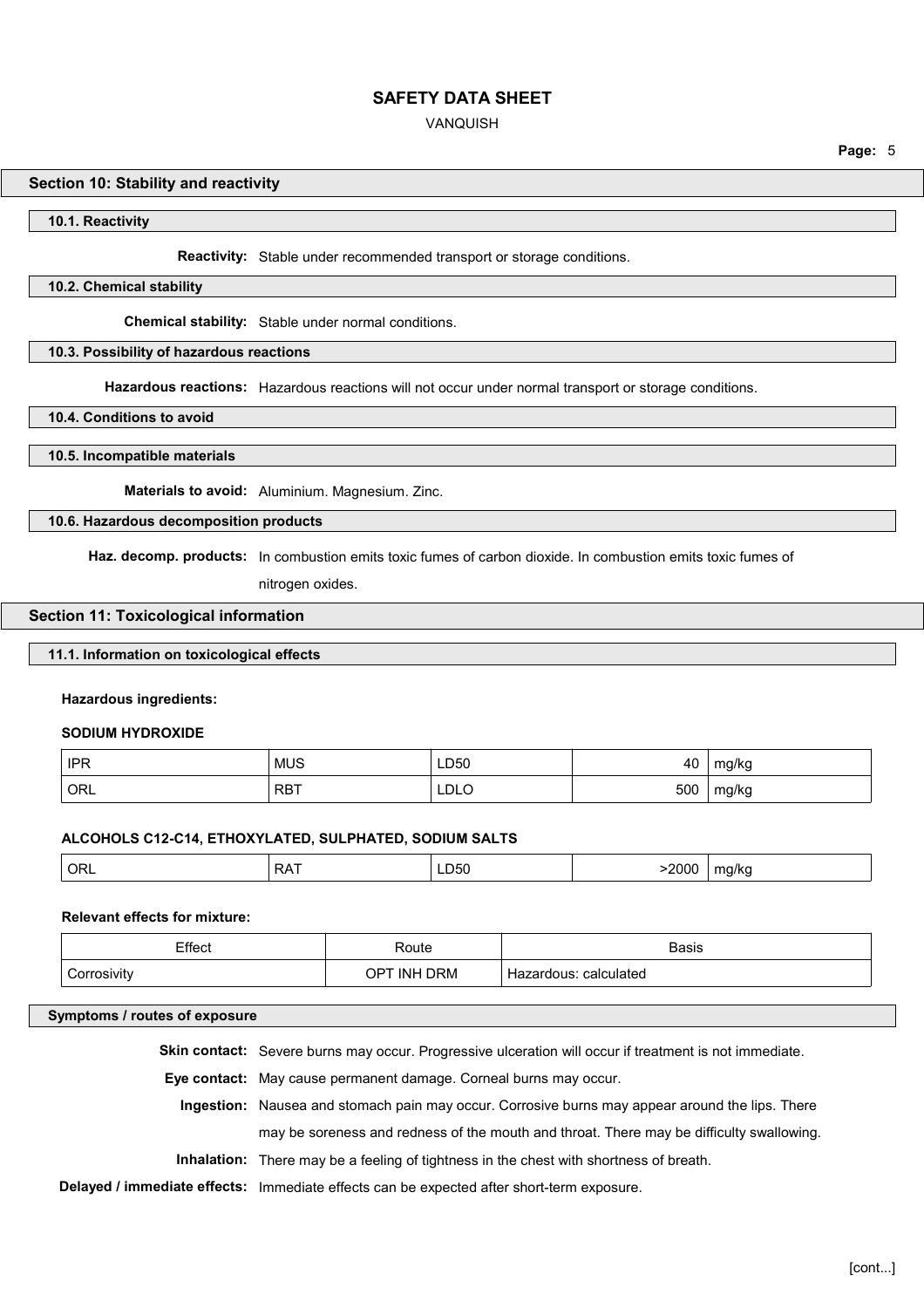#### VANQUISH

#### **Section 10: Stability and reactivity**

**10.1. Reactivity**

**Reactivity:** Stable under recommended transport or storage conditions.

#### **10.2. Chemical stability**

**Chemical stability:** Stable under normal conditions.

#### **10.3. Possibility of hazardous reactions**

**Hazardous reactions:** Hazardous reactions will not occur under normal transport or storage conditions.

**10.4. Conditions to avoid**

#### **10.5. Incompatible materials**

**Materials to avoid:** Aluminium. Magnesium. Zinc.

## **10.6. Hazardous decomposition products**

**Haz. decomp. products:** In combustion emits toxic fumes of carbon dioxide. In combustion emits toxic fumes of

nitrogen oxides.

#### **Section 11: Toxicological information**

## **11.1. Information on toxicological effects**

#### **Hazardous ingredients:**

#### **SODIUM HYDROXIDE**

| IPR | <b>MUS</b> | LD50        | 40  | mg/kg |
|-----|------------|-------------|-----|-------|
| ORL | <b>RBT</b> | <b>LDLO</b> | 500 | mg/kg |

#### **ALCOHOLS C12-C14, ETHOXYLATED, SULPHATED, SODIUM SALTS**

| 200c<br>ORL <sup>'</sup><br>. .<br>∍∧<br>ma/ka<br>LDOU<br><br>.<br>$ -$<br>. .<br>. |
|-------------------------------------------------------------------------------------|
|-------------------------------------------------------------------------------------|

#### **Relevant effects for mixture:**

| Effect<br>___ | रoute                   | <b>Basis</b><br>.        |
|---------------|-------------------------|--------------------------|
|               | <b>DRM</b><br>INH<br>םו | calculated<br>Hazardous. |

#### **Symptoms / routes of exposure**

**Skin contact:** Severe burns may occur. Progressive ulceration will occur if treatment is not immediate.

**Eye contact:** May cause permanent damage. Corneal burns may occur.

**Ingestion:** Nausea and stomach pain may occur. Corrosive burns may appear around the lips. There may be soreness and redness of the mouth and throat. There may be difficulty swallowing.

**Inhalation:** There may be a feeling of tightness in the chest with shortness of breath.

#### **Delayed / immediate effects:** Immediate effects can be expected after short-term exposure.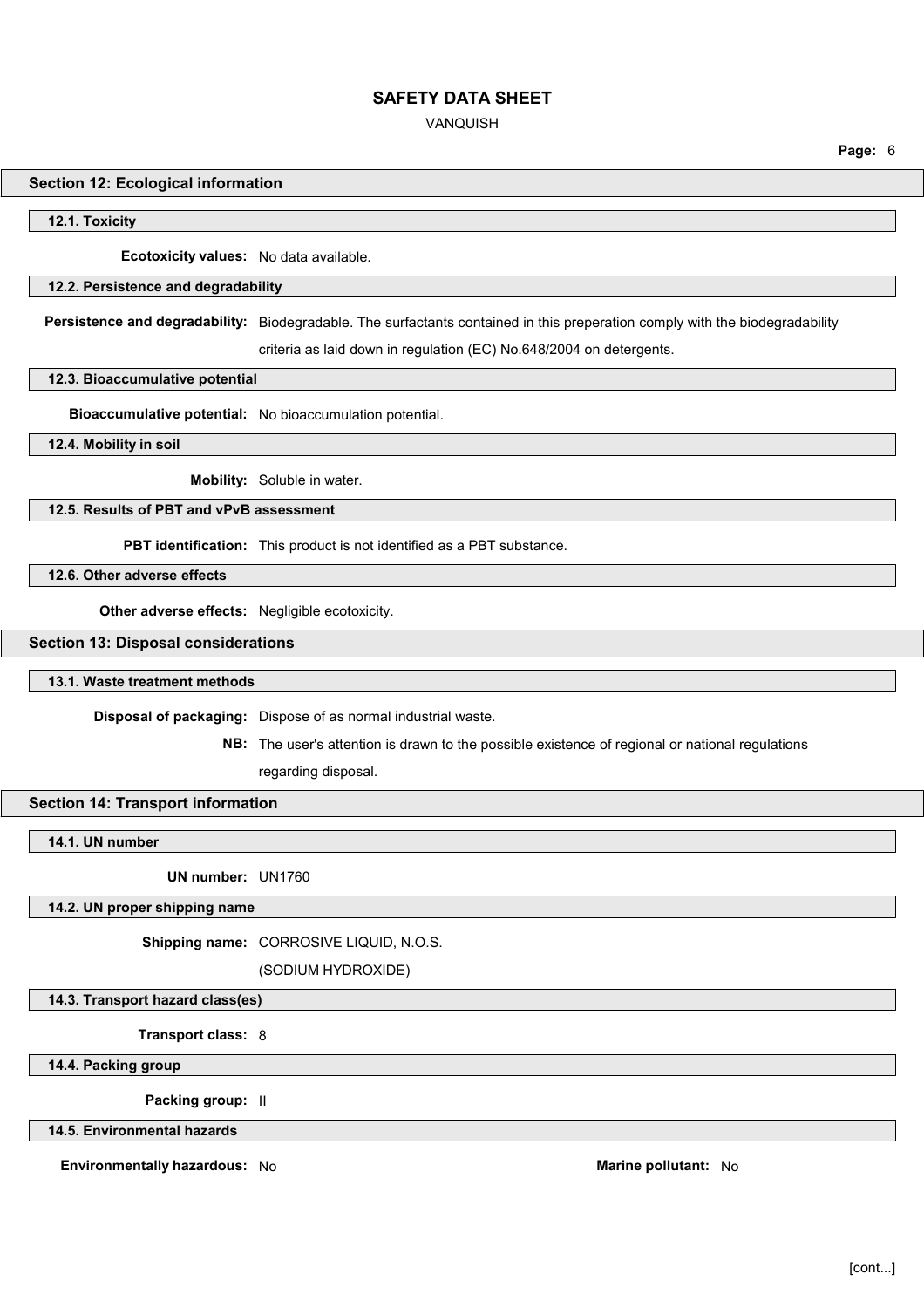VANQUISH

#### **Section 12: Ecological information**

**12.1. Toxicity**

**Ecotoxicity values:** No data available.

#### **12.2. Persistence and degradability**

**Persistence and degradability:** Biodegradable. The surfactants contained in this preperation comply with the biodegradability criteria as laid down in regulation (EC) No.648/2004 on detergents.

#### **12.3. Bioaccumulative potential**

**Bioaccumulative potential:** No bioaccumulation potential.

**12.4. Mobility in soil**

**Mobility:** Soluble in water.

#### **12.5. Results of PBT and vPvB assessment**

**PBT identification:** This product is not identified as a PBT substance.

**12.6. Other adverse effects**

**Other adverse effects:** Negligible ecotoxicity.

#### **Section 13: Disposal considerations**

#### **13.1. Waste treatment methods**

**Disposal of packaging:** Dispose of as normal industrial waste.

**NB:** The user's attention is drawn to the possible existence of regional or national regulations

regarding disposal.

## **Section 14: Transport information**

**14.1. UN number**

**UN number:** UN1760

## **14.2. UN proper shipping name**

**Shipping name:** CORROSIVE LIQUID, N.O.S.

(SODIUM HYDROXIDE)

**14.3. Transport hazard class(es)**

**Transport class:** 8

**14.4. Packing group**

**Packing group:** II

**14.5. Environmental hazards**

**Environmentally hazardous:** No **Marine pollutant:** No